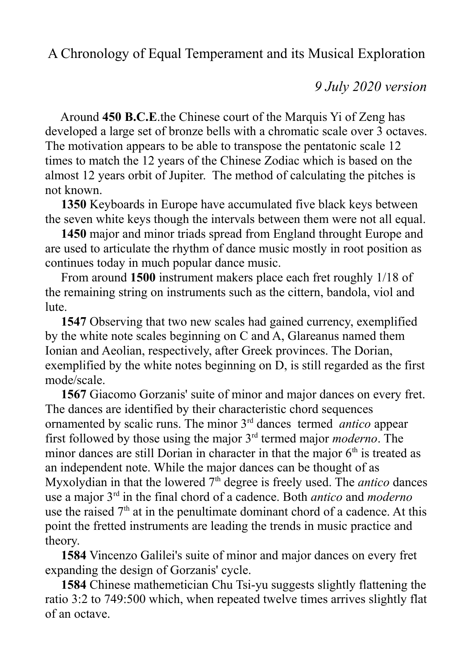A Chronology of Equal Temperament and its Musical Exploration

*9 July 2020 version*

 Around **450 B.C.E**.the Chinese court of the Marquis Yi of Zeng has developed a large set of bronze bells with a chromatic scale over 3 octaves. The motivation appears to be able to transpose the pentatonic scale 12 times to match the 12 years of the Chinese Zodiac which is based on the almost 12 years orbit of Jupiter. The method of calculating the pitches is not known.

 **1350** Keyboards in Europe have accumulated five black keys between the seven white keys though the intervals between them were not all equal.

 **1450** major and minor triads spread from England throught Europe and are used to articulate the rhythm of dance music mostly in root position as continues today in much popular dance music.

 From around **1500** instrument makers place each fret roughly 1/18 of the remaining string on instruments such as the cittern, bandola, viol and lute.

 **1547** Observing that two new scales had gained currency, exemplified by the white note scales beginning on C and A, Glareanus named them Ionian and Aeolian, respectively, after Greek provinces. The Dorian, exemplified by the white notes beginning on D, is still regarded as the first mode/scale.

 **1567** Giacomo Gorzanis' suite of minor and major dances on every fret. The dances are identified by their characteristic chord sequences ornamented by scalic runs. The minor 3rd dances termed *antico* appear first followed by those using the major 3rd termed major *moderno*. The minor dances are still Dorian in character in that the major  $6<sup>th</sup>$  is treated as an independent note. While the major dances can be thought of as Myxolydian in that the lowered 7<sup>th</sup> degree is freely used. The *antico* dances use a major 3rd in the final chord of a cadence. Both *antico* and *moderno* use the raised  $7<sup>th</sup>$  at in the penultimate dominant chord of a cadence. At this point the fretted instruments are leading the trends in music practice and theory.

 **1584** Vincenzo Galilei's suite of minor and major dances on every fret expanding the design of Gorzanis' cycle.

 **1584** Chinese mathemetician Chu Tsi-yu suggests slightly flattening the ratio 3:2 to 749:500 which, when repeated twelve times arrives slightly flat of an octave.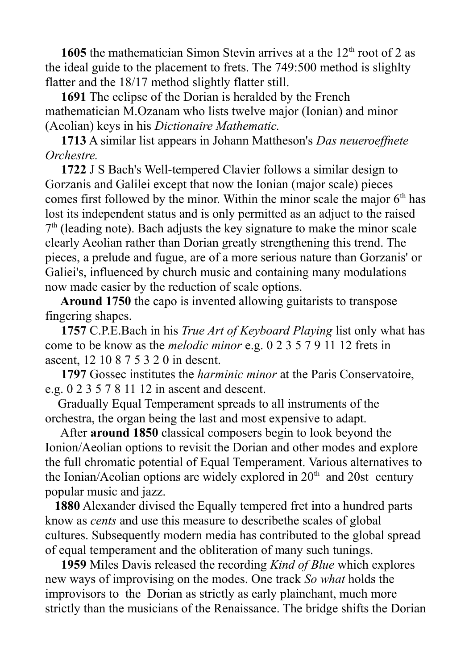**1605** the mathematician Simon Stevin arrives at a the  $12<sup>th</sup>$  root of 2 as the ideal guide to the placement to frets. The 749:500 method is slighlty flatter and the 18/17 method slightly flatter still.

 **1691** The eclipse of the Dorian is heralded by the French mathematician M.Ozanam who lists twelve major (Ionian) and minor (Aeolian) keys in his *Dictionaire Mathematic.*

 **1713** A similar list appears in Johann Mattheson's *Das neueroeffnete Orchestre.*

 **1722** J S Bach's Well-tempered Clavier follows a similar design to Gorzanis and Galilei except that now the Ionian (major scale) pieces comes first followed by the minor. Within the minor scale the major  $6<sup>th</sup>$  has lost its independent status and is only permitted as an adjuct to the raised 7<sup>th</sup> (leading note). Bach adjusts the key signature to make the minor scale clearly Aeolian rather than Dorian greatly strengthening this trend. The pieces, a prelude and fugue, are of a more serious nature than Gorzanis' or Galiei's, influenced by church music and containing many modulations now made easier by the reduction of scale options.

 **Around 1750** the capo is invented allowing guitarists to transpose fingering shapes.

 **1757** C.P.E.Bach in his *True Art of Keyboard Playing* list only what has come to be know as the *melodic minor* e.g. 0 2 3 5 7 9 11 12 frets in ascent, 12 10 8 7 5 3 2 0 in descnt.

 **1797** Gossec institutes the *harminic minor* at the Paris Conservatoire, e.g. 0 2 3 5 7 8 11 12 in ascent and descent.

 Gradually Equal Temperament spreads to all instruments of the orchestra, the organ being the last and most expensive to adapt.

 After **around 1850** classical composers begin to look beyond the Ionion/Aeolian options to revisit the Dorian and other modes and explore the full chromatic potential of Equal Temperament. Various alternatives to the Ionian/Aeolian options are widely explored in  $20<sup>th</sup>$  and  $20st$  century popular music and jazz.

 **1880** Alexander divised the Equally tempered fret into a hundred parts know as *cents* and use this measure to describethe scales of global cultures. Subsequently modern media has contributed to the global spread of equal temperament and the obliteration of many such tunings.

 **1959** Miles Davis released the recording *Kind of Blue* which explores new ways of improvising on the modes. One track *So what* holds the improvisors to the Dorian as strictly as early plainchant, much more strictly than the musicians of the Renaissance. The bridge shifts the Dorian